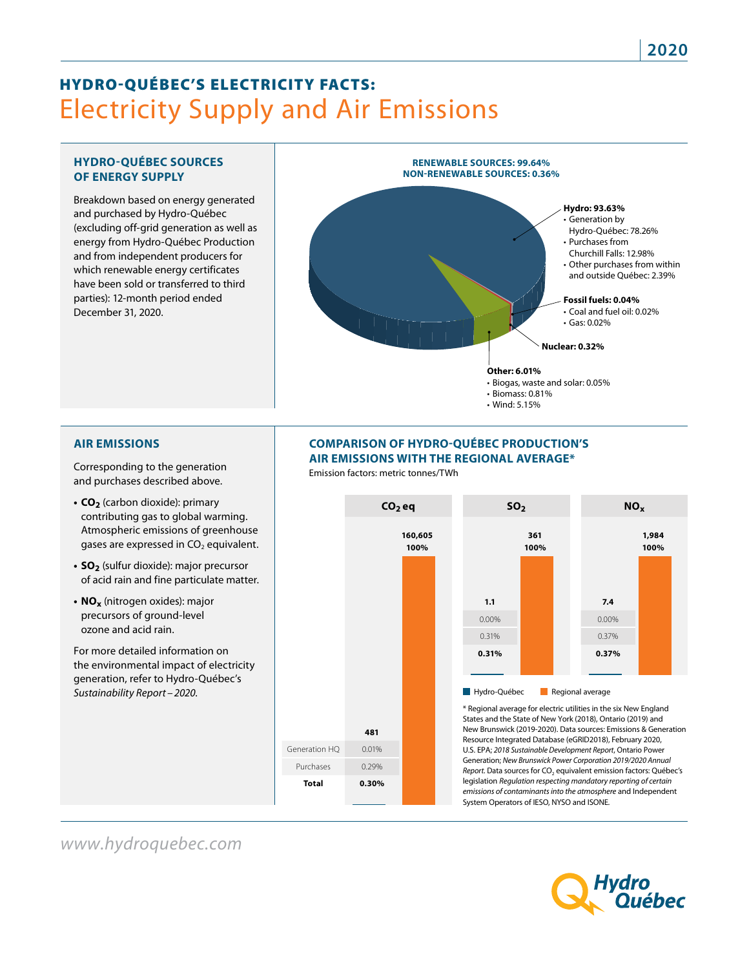# **Electricity Supply and Air Emissions** HYDRO-QUÉBEC'S ELECTRICITY FACTS:

#### **HYDRO-QUÉBEC SOURCES OF ENERGY SUPPLY**

Breakdown based on energy generated and purchased by Hydro-Québec (excluding off-grid generation as well as energy from Hydro-Québec Production and from independent producers for which renewable energy certificates have been sold or transferred to third parties): 12-month period ended December 31, 2020.



#### **AIR EMISSIONS**

Corresponding to the generation and purchases described above.

- **CO<sub>2</sub>** (carbon dioxide): primary contributing gas to global warming. Atmospheric emissions of greenhouse gases are expressed in  $CO<sub>2</sub>$  equivalent.
- **SO<sub>2</sub>** (sulfur dioxide): major precursor of acid rain and fine particulate matter.
- **• NOx** (nitrogen oxides): major precursors of ground-level ozone and acid rain.

For more detailed information on the environmental impact of electricity generation, refer to Hydro-Québec's *Sustainability Report –2020*.

#### **COMPARISON OF HYDRO-QUÉBEC PRODUCTION'S AIR EMISSIONS WITH THE REGIONAL AVERAGE\***

Emission factors: metric tonnes/TWh



## *www.hydroquebec.com*